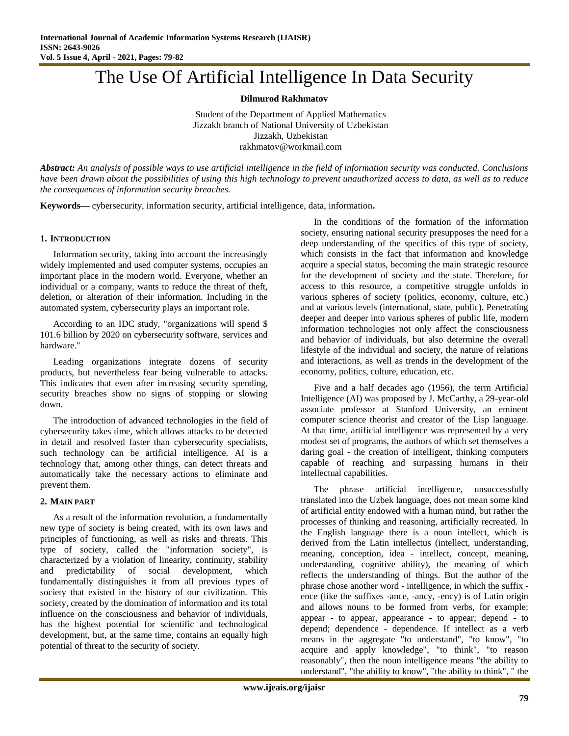# The Use Of Artificial Intelligence In Data Security

**Dilmurod Rakhmatov**

Student of the Department of Applied Mathematics Jizzakh branch of National University of Uzbekistan Jizzakh, Uzbekistan rakhmatov@workmail.com

*Abstract: An analysis of possible ways to use artificial intelligence in the field of information security was conducted. Conclusions have been drawn about the possibilities of using this high technology to prevent unauthorized access to data, as well as to reduce the consequences of information security breaches.*

**Keywords—** cybersecurity, information security, artificial intelligence, data, information**.**

### **1. INTRODUCTION**

Information security, taking into account the increasingly widely implemented and used computer systems, occupies an important place in the modern world. Everyone, whether an individual or a company, wants to reduce the threat of theft, deletion, or alteration of their information. Including in the automated system, cybersecurity plays an important role.

According to an IDC study, "organizations will spend \$ 101.6 billion by 2020 on cybersecurity software, services and hardware."

Leading organizations integrate dozens of security products, but nevertheless fear being vulnerable to attacks. This indicates that even after increasing security spending, security breaches show no signs of stopping or slowing down.

The introduction of advanced technologies in the field of cybersecurity takes time, which allows attacks to be detected in detail and resolved faster than cybersecurity specialists, such technology can be artificial intelligence. AI is a technology that, among other things, can detect threats and automatically take the necessary actions to eliminate and prevent them.

### **2. MAIN PART**

As a result of the information revolution, a fundamentally new type of society is being created, with its own laws and principles of functioning, as well as risks and threats. This type of society, called the "information society", is characterized by a violation of linearity, continuity, stability and predictability of social development, which fundamentally distinguishes it from all previous types of society that existed in the history of our civilization. This society, created by the domination of information and its total influence on the consciousness and behavior of individuals, has the highest potential for scientific and technological development, but, at the same time, contains an equally high potential of threat to the security of society.

In the conditions of the formation of the information society, ensuring national security presupposes the need for a deep understanding of the specifics of this type of society, which consists in the fact that information and knowledge acquire a special status, becoming the main strategic resource for the development of society and the state. Therefore, for access to this resource, a competitive struggle unfolds in various spheres of society (politics, economy, culture, etc.) and at various levels (international, state, public). Penetrating deeper and deeper into various spheres of public life, modern information technologies not only affect the consciousness and behavior of individuals, but also determine the overall lifestyle of the individual and society, the nature of relations and interactions, as well as trends in the development of the economy, politics, culture, education, etc.

Five and a half decades ago (1956), the term Artificial Intelligence (AI) was proposed by J. McCarthy, a 29-year-old associate professor at Stanford University, an eminent computer science theorist and creator of the Lisp language. At that time, artificial intelligence was represented by a very modest set of programs, the authors of which set themselves a daring goal - the creation of intelligent, thinking computers capable of reaching and surpassing humans in their intellectual capabilities.

The phrase artificial intelligence, unsuccessfully translated into the Uzbek language, does not mean some kind of artificial entity endowed with a human mind, but rather the processes of thinking and reasoning, artificially recreated. In the English language there is a noun intellect, which is derived from the Latin intellectus (intellect, understanding, meaning, conception, idea - intellect, concept, meaning, understanding, cognitive ability), the meaning of which reflects the understanding of things. But the author of the phrase chose another word - intelligence, in which the suffix ence (like the suffixes -ance, -ancy, -ency) is of Latin origin and allows nouns to be formed from verbs, for example: appear - to appear, appearance - to appear; depend - to depend; dependence - dependence. If intellect as a verb means in the aggregate "to understand", "to know", "to acquire and apply knowledge", "to think", "to reason reasonably", then the noun intelligence means "the ability to understand", "the ability to know", "the ability to think", " the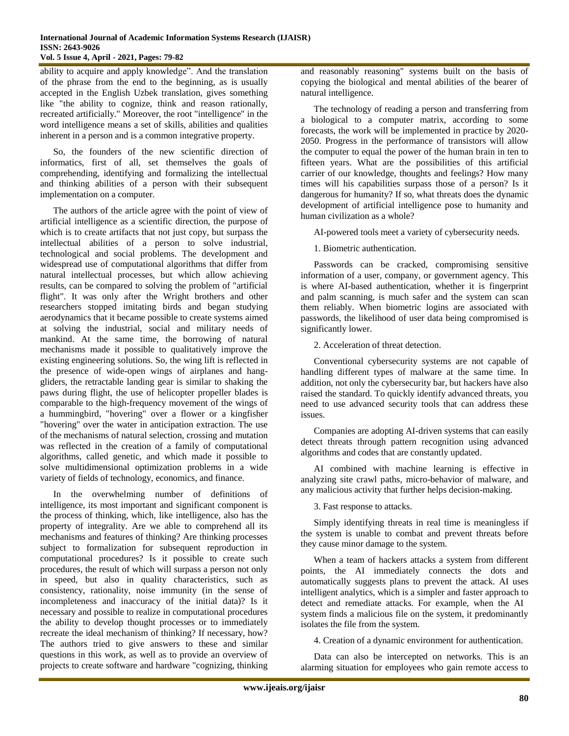ability to acquire and apply knowledge". And the translation of the phrase from the end to the beginning, as is usually accepted in the English Uzbek translation, gives something like "the ability to cognize, think and reason rationally, recreated artificially." Moreover, the root "intelligence" in the word intelligence means a set of skills, abilities and qualities inherent in a person and is a common integrative property.

So, the founders of the new scientific direction of informatics, first of all, set themselves the goals of comprehending, identifying and formalizing the intellectual and thinking abilities of a person with their subsequent implementation on a computer.

The authors of the article agree with the point of view of artificial intelligence as a scientific direction, the purpose of which is to create artifacts that not just copy, but surpass the intellectual abilities of a person to solve industrial, technological and social problems. The development and widespread use of computational algorithms that differ from natural intellectual processes, but which allow achieving results, can be compared to solving the problem of "artificial flight". It was only after the Wright brothers and other researchers stopped imitating birds and began studying aerodynamics that it became possible to create systems aimed at solving the industrial, social and military needs of mankind. At the same time, the borrowing of natural mechanisms made it possible to qualitatively improve the existing engineering solutions. So, the wing lift is reflected in the presence of wide-open wings of airplanes and hanggliders, the retractable landing gear is similar to shaking the paws during flight, the use of helicopter propeller blades is comparable to the high-frequency movement of the wings of a hummingbird, "hovering" over a flower or a kingfisher "hovering" over the water in anticipation extraction. The use of the mechanisms of natural selection, crossing and mutation was reflected in the creation of a family of computational algorithms, called genetic, and which made it possible to solve multidimensional optimization problems in a wide variety of fields of technology, economics, and finance.

In the overwhelming number of definitions of intelligence, its most important and significant component is the process of thinking, which, like intelligence, also has the property of integrality. Are we able to comprehend all its mechanisms and features of thinking? Are thinking processes subject to formalization for subsequent reproduction in computational procedures? Is it possible to create such procedures, the result of which will surpass a person not only in speed, but also in quality characteristics, such as consistency, rationality, noise immunity (in the sense of incompleteness and inaccuracy of the initial data)? Is it necessary and possible to realize in computational procedures the ability to develop thought processes or to immediately recreate the ideal mechanism of thinking? If necessary, how? The authors tried to give answers to these and similar questions in this work, as well as to provide an overview of projects to create software and hardware "cognizing, thinking

and reasonably reasoning" systems built on the basis of copying the biological and mental abilities of the bearer of natural intelligence.

The technology of reading a person and transferring from a biological to a computer matrix, according to some forecasts, the work will be implemented in practice by 2020- 2050. Progress in the performance of transistors will allow the computer to equal the power of the human brain in ten to fifteen years. What are the possibilities of this artificial carrier of our knowledge, thoughts and feelings? How many times will his capabilities surpass those of a person? Is it dangerous for humanity? If so, what threats does the dynamic development of artificial intelligence pose to humanity and human civilization as a whole?

AI-powered tools meet a variety of cybersecurity needs.

1. Biometric authentication.

Passwords can be cracked, compromising sensitive information of a user, company, or government agency. This is where AI-based authentication, whether it is fingerprint and palm scanning, is much safer and the system can scan them reliably. When biometric logins are associated with passwords, the likelihood of user data being compromised is significantly lower.

2. Acceleration of threat detection.

Conventional cybersecurity systems are not capable of handling different types of malware at the same time. In addition, not only the cybersecurity bar, but hackers have also raised the standard. To quickly identify advanced threats, you need to use advanced security tools that can address these issues.

Companies are adopting AI-driven systems that can easily detect threats through pattern recognition using advanced algorithms and codes that are constantly updated.

AI combined with machine learning is effective in analyzing site crawl paths, micro-behavior of malware, and any malicious activity that further helps decision-making.

3. Fast response to attacks.

Simply identifying threats in real time is meaningless if the system is unable to combat and prevent threats before they cause minor damage to the system.

When a team of hackers attacks a system from different points, the AI immediately connects the dots and automatically suggests plans to prevent the attack. AI uses intelligent analytics, which is a simpler and faster approach to detect and remediate attacks. For example, when the AI system finds a malicious file on the system, it predominantly isolates the file from the system.

4. Creation of a dynamic environment for authentication.

Data can also be intercepted on networks. This is an alarming situation for employees who gain remote access to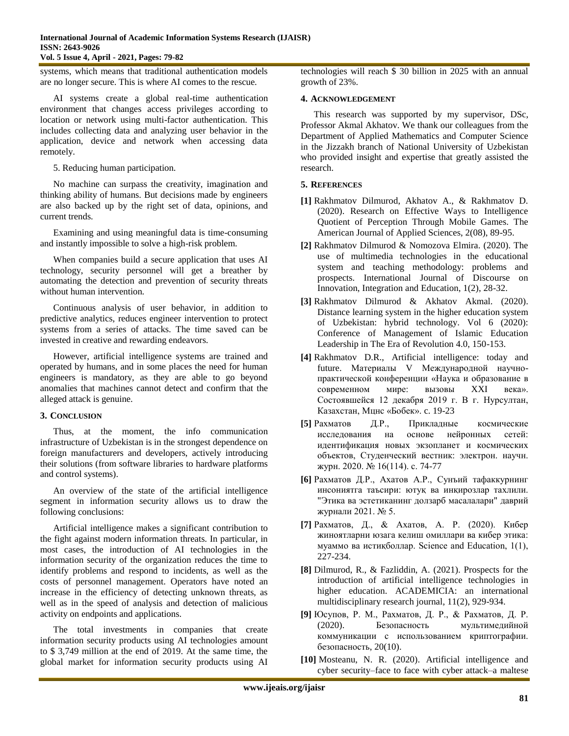systems, which means that traditional authentication models are no longer secure. This is where AI comes to the rescue.

AI systems create a global real-time authentication environment that changes access privileges according to location or network using multi-factor authentication. This includes collecting data and analyzing user behavior in the application, device and network when accessing data remotely.

5. Reducing human participation.

No machine can surpass the creativity, imagination and thinking ability of humans. But decisions made by engineers are also backed up by the right set of data, opinions, and current trends.

Examining and using meaningful data is time-consuming and instantly impossible to solve a high-risk problem.

When companies build a secure application that uses AI technology, security personnel will get a breather by automating the detection and prevention of security threats without human intervention.

Continuous analysis of user behavior, in addition to predictive analytics, reduces engineer intervention to protect systems from a series of attacks. The time saved can be invested in creative and rewarding endeavors.

However, artificial intelligence systems are trained and operated by humans, and in some places the need for human engineers is mandatory, as they are able to go beyond anomalies that machines cannot detect and confirm that the alleged attack is genuine.

# **3. CONCLUSION**

Thus, at the moment, the info communication infrastructure of Uzbekistan is in the strongest dependence on foreign manufacturers and developers, actively introducing their solutions (from software libraries to hardware platforms and control systems).

An overview of the state of the artificial intelligence segment in information security allows us to draw the following conclusions:

Artificial intelligence makes a significant contribution to the fight against modern information threats. In particular, in most cases, the introduction of AI technologies in the information security of the organization reduces the time to identify problems and respond to incidents, as well as the costs of personnel management. Operators have noted an increase in the efficiency of detecting unknown threats, as well as in the speed of analysis and detection of malicious activity on endpoints and applications.

The total investments in companies that create information security products using AI technologies amount to \$ 3,749 million at the end of 2019. At the same time, the global market for information security products using AI

technologies will reach \$ 30 billion in 2025 with an annual growth of 23%.

## **4. ACKNOWLEDGEMENT**

This research was supported by my supervisor, DSc, Professor Akmal Akhatov. We thank our colleagues from the Department of Applied Mathematics and Computer Science in the Jizzakh branch of National University of Uzbekistan who provided insight and expertise that greatly assisted the research.

## **5. REFERENCES**

- **[1]** Rakhmatov Dilmurod, Akhatov A., & Rakhmatov D. (2020). Research on Effective Ways to Intelligence Quotient of Perception Through Mobile Games. The American Journal of Applied Sciences, 2(08), 89-95.
- **[2]** Rakhmatov Dilmurod & Nomozova Elmira. (2020). The use of multimedia technologies in the educational system and teaching methodology: problems and prospects. International Journal of Discourse on Innovation, Integration and Education, 1(2), 28-32.
- **[3]** Rakhmatov Dilmurod & Akhatov Akmal. (2020). Distance learning system in the higher education system of Uzbekistan: hybrid technology. Vol 6 (2020): Conference of Management of Islamic Education Leadership in The Era of Revolution 4.0, 150-153.
- **[4]** Rakhmatov D.R., Artificial intelligence: today and future. Материалы V Международной научнопрактической конференции «Наука и образование в современном мире: вызовы XXI века». Состоявшейся 12 декабря 2019 г. В г. Нурсултан, Казахстан, Мцнс «Бобек». c. 19-23
- **[5]** Рахматов Д.Р., Прикладные космические исследования на основе нейронных сетей: идентификация новых экзопланет и космических объектов, Студенческий вестник: электрон. научн. журн. 2020. № 16(114). c. 74-77
- **[6]** Рахматов Д.Р., Ахатов А.Р., Сунъий тафаккурнинг инсониятга таъсири: ютуқ ва инқирозлар тахлили. "Этика ва эстетиканинг долзарб масалалари" даврий журнали 2021. № 5.
- **[7]** Рахматов, Д., & Ахатов, А. Р. (2020). Кибер жиноятларни юзага келиш омиллари ва кибер этика: муаммо ва истиқболлар. Science and Education, 1(1), 227-234.
- **[8]** Dilmurod, R., & Fazliddin, A. (2021). Prospects for the introduction of artificial intelligence technologies in higher education. ACADEMICIA: an international multidisciplinary research journal, 11(2), 929-934.
- **[9]** Юсупов, Р. М., Рахматов, Д. Р., & Рахматов, Д. Р. (2020). Безопасность мультимедийной коммуникации с использованием криптографии. безопасность, 20(10).
- **[10]** Mosteanu, N. R. (2020). Artificial intelligence and cyber security–face to face with cyber attack–a maltese